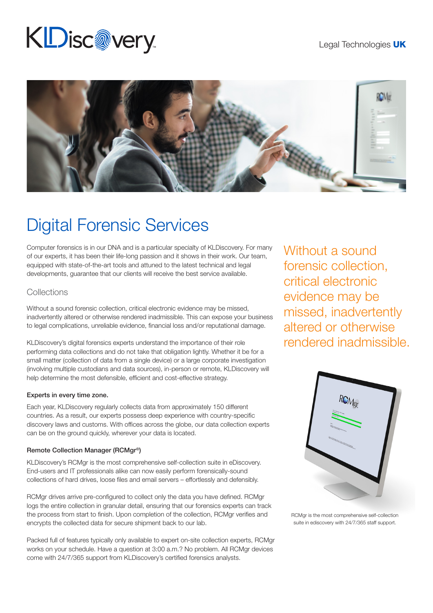# **KDisc@very**



## Digital Forensic Services

Computer forensics is in our DNA and is a particular specialty of KLDiscovery. For many of our experts, it has been their life-long passion and it shows in their work. Our team, equipped with state-of-the-art tools and attuned to the latest technical and legal developments, guarantee that our clients will receive the best service available.

### **Collections**

Without a sound forensic collection, critical electronic evidence may be missed, inadvertently altered or otherwise rendered inadmissible. This can expose your business to legal complications, unreliable evidence, financial loss and/or reputational damage.

KLDiscovery's digital forensics experts understand the importance of their role performing data collections and do not take that obligation lightly. Whether it be for a small matter (collection of data from a single device) or a large corporate investigation (involving multiple custodians and data sources), in-person or remote, KLDiscovery will help determine the most defensible, efficient and cost-effective strategy.

#### Experts in every time zone.

Each year, KLDiscovery regularly collects data from approximately 150 different countries. As a result, our experts possess deep experience with country-specific discovery laws and customs. With offices across the globe, our data collection experts can be on the ground quickly, wherever your data is located.

#### Remote Collection Manager (RCMgr®)

KLDiscovery's RCMgr is the most comprehensive self-collection suite in eDiscovery. End-users and IT professionals alike can now easily perform forensically-sound collections of hard drives, loose files and email servers – effortlessly and defensibly.

RCMgr drives arrive pre-configured to collect only the data you have defined. RCMgr logs the entire collection in granular detail, ensuring that our forensics experts can track the process from start to finish. Upon completion of the collection, RCMgr verifies and encrypts the collected data for secure shipment back to our lab.

Packed full of features typically only available to expert on-site collection experts, RCMgr works on your schedule. Have a question at 3:00 a.m.? No problem. All RCMgr devices come with 24/7/365 support from KLDiscovery's certified forensics analysts.

Without a sound forensic collection, critical electronic evidence may be missed, inadvertently altered or otherwise rendered inadmissible.



RCMgr is the most comprehensive self-collection suite in ediscovery with 24/7/365 staff support.